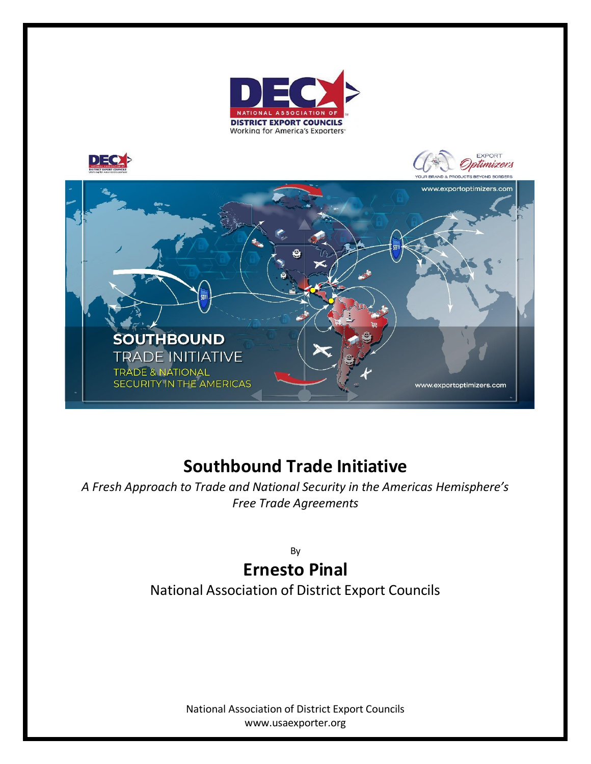



## **Southbound Trade Initiative**

*A Fresh Approach to Trade and National Security in the Americas Hemisphere's Free Trade Agreements*

By

## **Ernesto Pinal**

National Association of District Export Councils

National Association of District Export Councils [www.usaexporter.org](http://www.usaexporter.org/)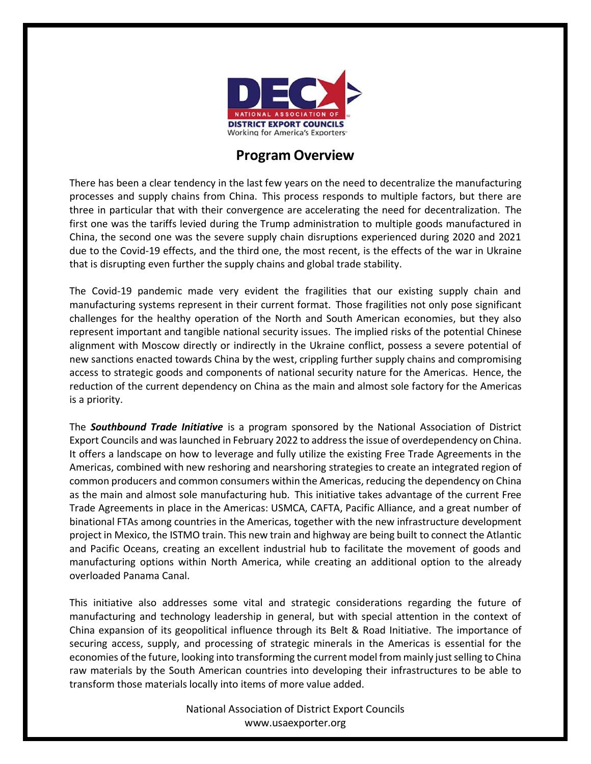

## **Program Overview**

There has been a clear tendency in the last few years on the need to decentralize the manufacturing processes and supply chains from China. This process responds to multiple factors, but there are three in particular that with their convergence are accelerating the need for decentralization. The first one was the tariffs levied during the Trump administration to multiple goods manufactured in China, the second one was the severe supply chain disruptions experienced during 2020 and 2021 due to the Covid-19 effects, and the third one, the most recent, is the effects of the war in Ukraine that is disrupting even further the supply chains and global trade stability.

The Covid-19 pandemic made very evident the fragilities that our existing supply chain and manufacturing systems represent in their current format. Those fragilities not only pose significant challenges for the healthy operation of the North and South American economies, but they also represent important and tangible national security issues. The implied risks of the potential Chinese alignment with Moscow directly or indirectly in the Ukraine conflict, possess a severe potential of new sanctions enacted towards China by the west, crippling further supply chains and compromising access to strategic goods and components of national security nature for the Americas. Hence, the reduction of the current dependency on China as the main and almost sole factory for the Americas is a priority.

The *Southbound Trade Initiative* is a program sponsored by the National Association of District Export Councils and waslaunched in February 2022 to address the issue of overdependency on China. It offers a landscape on how to leverage and fully utilize the existing Free Trade Agreements in the Americas, combined with new reshoring and nearshoring strategies to create an integrated region of common producers and common consumers within the Americas, reducing the dependency on China as the main and almost sole manufacturing hub. This initiative takes advantage of the current Free Trade Agreements in place in the Americas: USMCA, CAFTA, Pacific Alliance, and a great number of binational FTAs among countries in the Americas, together with the new infrastructure development project in Mexico, the ISTMO train. This new train and highway are being built to connect the Atlantic and Pacific Oceans, creating an excellent industrial hub to facilitate the movement of goods and manufacturing options within North America, while creating an additional option to the already overloaded Panama Canal.

This initiative also addresses some vital and strategic considerations regarding the future of manufacturing and technology leadership in general, but with special attention in the context of China expansion of its geopolitical influence through its Belt & Road Initiative. The importance of securing access, supply, and processing of strategic minerals in the Americas is essential for the economies of the future, looking into transforming the current model from mainly just selling to China raw materials by the South American countries into developing their infrastructures to be able to transform those materials locally into items of more value added.

> National Association of District Export Councils [www.usaexporter.org](http://www.usaexporter.org/)